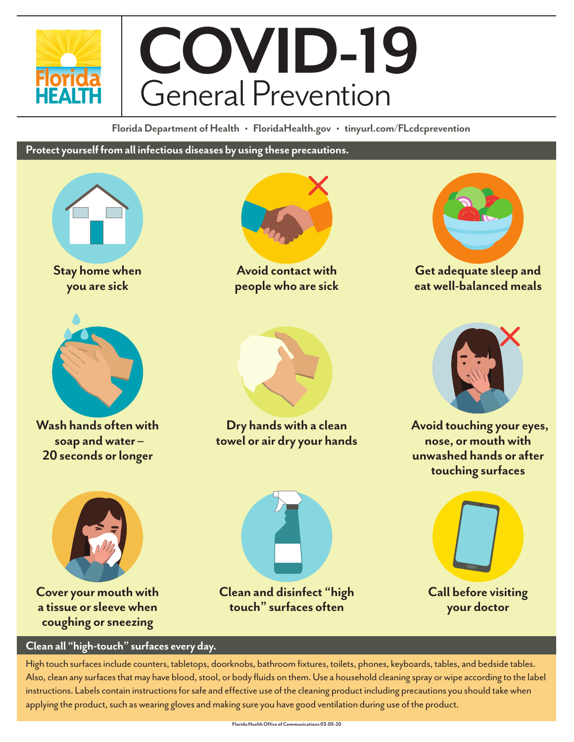

**Florida Department of Health • FloridaHealth.gov • tinyurl.com/FLcdcprevention**

**Protect yourself from all infectious diseases by using these precautions.**



**Stay home when you are sick**



**Wash hands often with soap and water – 20 seconds or longer**



**Avoid contact with people who are sick**



**Get adequate sleep and eat well-balanced meals**



**Dry hands with a clean towel or air dry your hands**



**Avoid touching your eyes, nose, or mouth with unwashed hands or after touching surfaces**

**Call before visiting your doctor**



**Cover your mouth with a tissue or sleeve when coughing or sneezing**



High touch surfaces include counters, tabletops, doorknobs, bathroom fixtures, toilets, phones, keyboards, tables, and bedside tables. Also, clean any surfaces that may have blood, stool, or body fluids on them. Use a household cleaning spray or wipe according to the label instructions. Labels contain instructions for safe and effective use of the cleaning product including precautions you should take when applying the product, such as wearing gloves and making sure you have good ventilation during use of the product.

**Clean and disinfect "high touch" surfaces often**